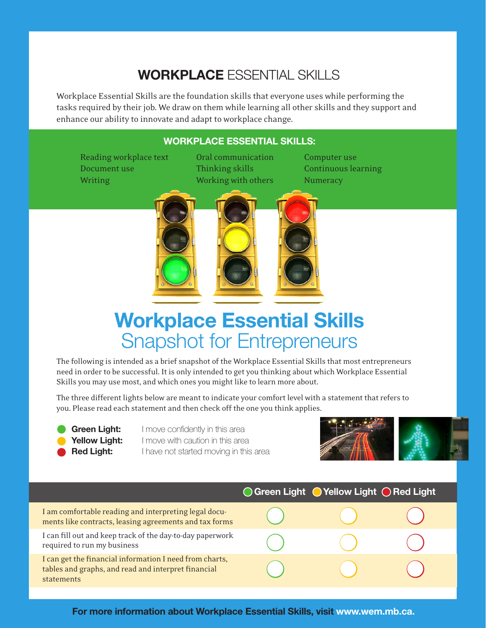## **Workplace** Essential Skills

Workplace Essential Skills are the foundation skills that everyone uses while performing the tasks required by their job. We draw on them while learning all other skills and they support and enhance our ability to innovate and adapt to workplace change.

## **Workplace Essential Skills:**

Reading workplace text Oral communication Computer use Document use Thinking skills Continuous learning

Writing Working Working with others Numeracy



## **Workplace Essential Skills**  Snapshot for Entrepreneurs

The following is intended as a brief snapshot of the Workplace Essential Skills that most entrepreneurs need in order to be successful. It is only intended to get you thinking about which Workplace Essential Skills you may use most, and which ones you might like to learn more about.

The three different lights below are meant to indicate your comfort level with a statement that refers to you. Please read each statement and then check off the one you think applies.

**Green Light:** I move confidently in this area **Yellow Light:** I move with caution in this area **Red Light:** I have not started moving in this area



|                                                                                                                              | ○ Green Light ● Yellow Light ● Red Light |  |
|------------------------------------------------------------------------------------------------------------------------------|------------------------------------------|--|
| I am comfortable reading and interpreting legal docu-<br>ments like contracts, leasing agreements and tax forms              |                                          |  |
| I can fill out and keep track of the day-to-day paperwork<br>required to run my business                                     |                                          |  |
| I can get the financial information I need from charts,<br>tables and graphs, and read and interpret financial<br>statements |                                          |  |

**For more information about Workplace Essential Skills, visit www.wem.mb.ca.**